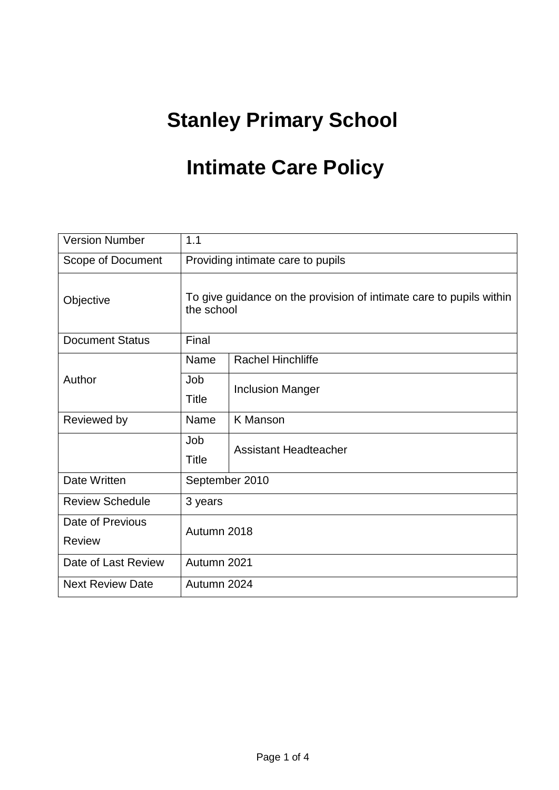# **Stanley Primary School**

## **Intimate Care Policy**

| <b>Version Number</b>             | 1.1                                                                               |                              |
|-----------------------------------|-----------------------------------------------------------------------------------|------------------------------|
| Scope of Document                 | Providing intimate care to pupils                                                 |                              |
| Objective                         | To give guidance on the provision of intimate care to pupils within<br>the school |                              |
| <b>Document Status</b>            | Final                                                                             |                              |
| Author                            | Name                                                                              | <b>Rachel Hinchliffe</b>     |
|                                   | Job<br>Title                                                                      | <b>Inclusion Manger</b>      |
| Reviewed by                       | Name                                                                              | <b>K</b> Manson              |
|                                   | Job<br>Title                                                                      | <b>Assistant Headteacher</b> |
| Date Written                      | September 2010                                                                    |                              |
| <b>Review Schedule</b>            | 3 years                                                                           |                              |
| Date of Previous<br><b>Review</b> | Autumn 2018                                                                       |                              |
| Date of Last Review               | Autumn 2021                                                                       |                              |
| <b>Next Review Date</b>           | Autumn 2024                                                                       |                              |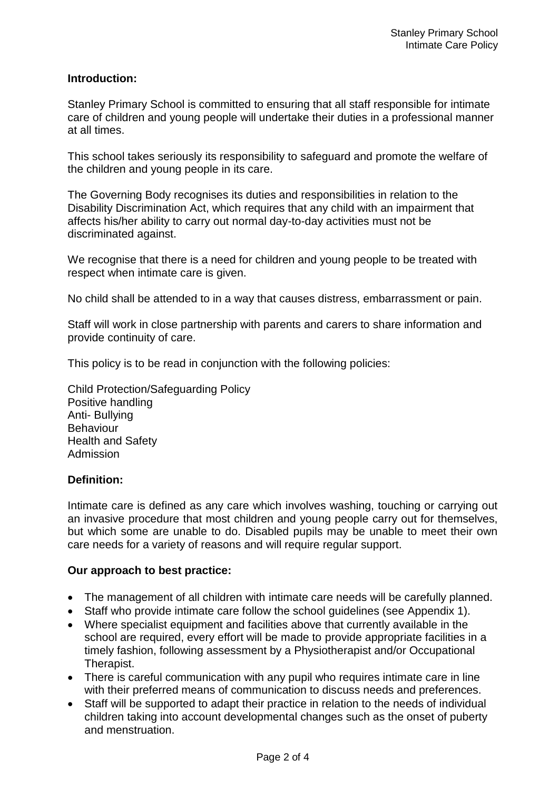#### **Introduction:**

Stanley Primary School is committed to ensuring that all staff responsible for intimate care of children and young people will undertake their duties in a professional manner at all times.

This school takes seriously its responsibility to safeguard and promote the welfare of the children and young people in its care.

The Governing Body recognises its duties and responsibilities in relation to the Disability Discrimination Act, which requires that any child with an impairment that affects his/her ability to carry out normal day-to-day activities must not be discriminated against.

We recognise that there is a need for children and young people to be treated with respect when intimate care is given.

No child shall be attended to in a way that causes distress, embarrassment or pain.

Staff will work in close partnership with parents and carers to share information and provide continuity of care.

This policy is to be read in conjunction with the following policies:

Child Protection/Safeguarding Policy Positive handling Anti- Bullying **Behaviour** Health and Safety Admission

#### **Definition:**

Intimate care is defined as any care which involves washing, touching or carrying out an invasive procedure that most children and young people carry out for themselves, but which some are unable to do. Disabled pupils may be unable to meet their own care needs for a variety of reasons and will require regular support.

#### **Our approach to best practice:**

- The management of all children with intimate care needs will be carefully planned.
- Staff who provide intimate care follow the school guidelines (see Appendix 1).
- Where specialist equipment and facilities above that currently available in the school are required, every effort will be made to provide appropriate facilities in a timely fashion, following assessment by a Physiotherapist and/or Occupational Therapist.
- There is careful communication with any pupil who requires intimate care in line with their preferred means of communication to discuss needs and preferences.
- Staff will be supported to adapt their practice in relation to the needs of individual children taking into account developmental changes such as the onset of puberty and menstruation.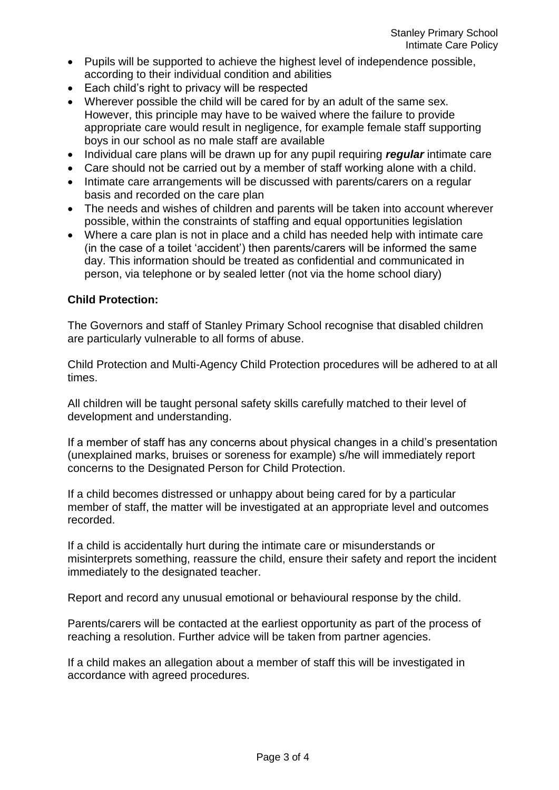- Pupils will be supported to achieve the highest level of independence possible, according to their individual condition and abilities
- Each child's right to privacy will be respected
- Wherever possible the child will be cared for by an adult of the same sex. However, this principle may have to be waived where the failure to provide appropriate care would result in negligence, for example female staff supporting boys in our school as no male staff are available
- Individual care plans will be drawn up for any pupil requiring *regular* intimate care
- Care should not be carried out by a member of staff working alone with a child.
- Intimate care arrangements will be discussed with parents/carers on a regular basis and recorded on the care plan
- The needs and wishes of children and parents will be taken into account wherever possible, within the constraints of staffing and equal opportunities legislation
- Where a care plan is not in place and a child has needed help with intimate care (in the case of a toilet 'accident') then parents/carers will be informed the same day. This information should be treated as confidential and communicated in person, via telephone or by sealed letter (not via the home school diary)

#### **Child Protection:**

The Governors and staff of Stanley Primary School recognise that disabled children are particularly vulnerable to all forms of abuse.

Child Protection and Multi-Agency Child Protection procedures will be adhered to at all times.

All children will be taught personal safety skills carefully matched to their level of development and understanding.

If a member of staff has any concerns about physical changes in a child's presentation (unexplained marks, bruises or soreness for example) s/he will immediately report concerns to the Designated Person for Child Protection.

If a child becomes distressed or unhappy about being cared for by a particular member of staff, the matter will be investigated at an appropriate level and outcomes recorded.

If a child is accidentally hurt during the intimate care or misunderstands or misinterprets something, reassure the child, ensure their safety and report the incident immediately to the designated teacher.

Report and record any unusual emotional or behavioural response by the child.

Parents/carers will be contacted at the earliest opportunity as part of the process of reaching a resolution. Further advice will be taken from partner agencies.

If a child makes an allegation about a member of staff this will be investigated in accordance with agreed procedures.